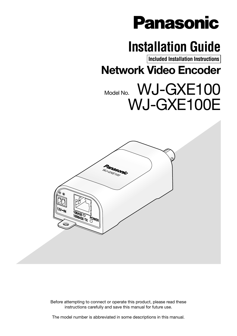# **Panasonic**

# **Installation Guide**

**Included Installation Instructions**

Network Video Encoder

# Model No. WJ-GXE100 WJ-GXE100E



Before attempting to connect or operate this product, please read these instructions carefully and save this manual for future use.

The model number is abbreviated in some descriptions in this manual.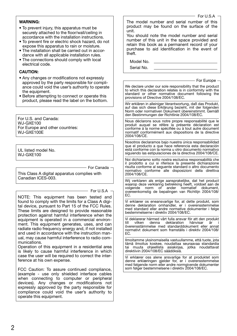#### WARNING:

- To prevent injury, this apparatus must be securely attached to the floor/wall/ceiling in accordance with the installation instructions.
- To prevent fire or electric shock hazard, do not expose this apparatus to rain or moisture.
- The installation shall be carried out in accordance with all applicable installation rules.
- The connections should comply with local electrical code.

#### CAUTION:

- Any changes or modifications not expressly approved by the party responsible for compliance could void the user's authority to operate the equipment.
- Before attempting to connect or operate this product, please read the label on the bottom.

For U.S. and Canada: WJ-GXE100 For Europe and other countries: WJ-GXE100E

UL listed model No. WJ-GXE100

- For Canada -

This Class A digital apparatus complies with Canadian ICES-003.

 $-$  For U.S.A  $-$ 

NOTE: This equipment has been tested and found to comply with the limits for a Class A digital device, pursuant to Part 15 of the FCC Rules. These limits are designed to provide reasonable protection against harmful interference when the equipment is operated in a commercial environment. This equipment generates, uses, and can radiate radio frequency energy and, if not installed and used in accordance with the instruction manual, may cause harmful interference to radio communications.

Operation of this equipment in a residential area is likely to cause harmful interference in which case the user will be required to correct the interference at his own expense.

FCC Caution: To assure continued compliance, (example - use only shielded interface cables when connecting to computer or peripheral devices). Any changes or modifications not expressly approved by the party responsible for compliance could void the user's authority to operate this equipment.

The model number and serial number of this product may be found on the surface of the unit. You should note the model number and serial number of this unit in the space provided and retain this book as a permanent record of your purchase to aid identification in the event of theft. Model No. Serial No. We declare under our sole responsibility that the product to which this declaration relates is in conformity with the standard or other normative document following the provisions of Directive 2004/108/EC. Wir erklären in alleiniger Verantwortung, daß das Produkt, auf das sich diese Erklärung bezieht, mit der folgenden Norm oder normativen Dokument übereinstimmt. Gemäß den Bestimmungen der Richtlinie 2004/108/EC. Nous déclarons sous notre propre responsabilité que le produit auquel se réfère la présente déclaration est conforme á la norme spécifiée ou à tout autre document normatif conformément aux dispositions de la directive 2004/108/CE. Nosotros declaramos bajo nuestra única responsabilidad que el producto a que hace referencia esta declaración está conforme con la norma u otro documento normativo siguiendo las estipulaciones de la directiva 2004/108/CE. Noi dichiariamo sotto nostra esclusiva responsabilità che il prodotto a cui si riferisce la presente dichiarazione risulta conforme al seguente standard o altro documento normativo conforme alle disposizioni della direttiva 2004/108/CE. Wij verklaren als enige aansprakelijke, dat het product waarop deze verklaring betrekking heeft, voldoet aan de<br>volgende norm of ander normatief dokument, ander normatief dokument. overeenkomstig de bepalingen van Richtlijn 2004/108/ EC. Vi erklærer os eneansvarlige for, at dette produkt, som denne deklaration omhandler, er i overensstemmelse med standard eller andre normative dokumenter i følge bestemmelserne i direktiv 2004/108/EC. Vi deklarerar härmed vårt fulla ansvar för att den produkt till vilken denna deklaration hänvisar är i överensstämmelse med standarddokument eller annat normativt dokument som framställs i direktiv 2004/108/ EC. Ilmoitamme yksinomaisella vastuullamme, että tuote, jota tämä ilmoitus koskee, noudattaa seuraavaa standardia tai muuta ohjeellista asiakirjaa, jotka noudattavat direktiivin 2004/108/EC säädöksiä. - For Europe For U.S.A

Vi erklærer oss alene ansvarlige for at produktet som denne erklæringen gjelder for, er i overensstemmelse med følgende norm eller andre normgivende dokumenter som følger bestemmelsene i direktiv 2004/108/EC.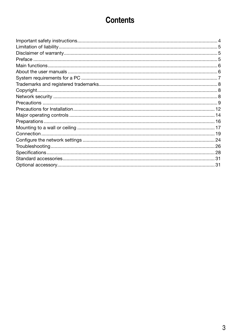### **Contents**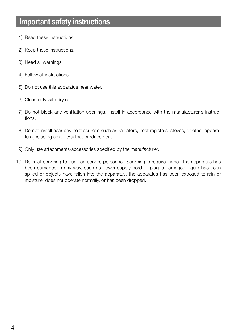### Important safety instructions

- 1) Read these instructions.
- 2) Keep these instructions.
- 3) Heed all warnings.
- 4) Follow all instructions.
- 5) Do not use this apparatus near water.
- 6) Clean only with dry cloth.
- 7) Do not block any ventilation openings. Install in accordance with the manufacturer's instructions.
- 8) Do not install near any heat sources such as radiators, heat registers, stoves, or other apparatus (including amplifiers) that produce heat.
- 9) Only use attachments/accessories specified by the manufacturer.
- 10) Refer all servicing to qualified service personnel. Servicing is required when the apparatus has been damaged in any way, such as power-supply cord or plug is damaged, liquid has been spilled or objects have fallen into the apparatus, the apparatus has been exposed to rain or moisture, does not operate normally, or has been dropped.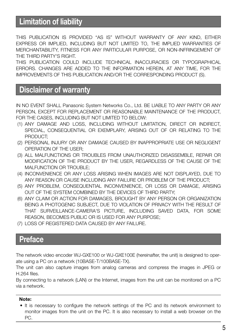### Limitation of liability

THIS PUBLICATION IS PROVIDED "AS IS" WITHOUT WARRANTY OF ANY KIND, EITHER EXPRESS OR IMPLIED, INCLUDING BUT NOT LIMITED TO, THE IMPLIED WARRANTIES OF MERCHANTABILITY, FITNESS FOR ANY PARTICULAR PURPOSE, OR NON-INFRINGEMENT OF THE THIRD PARTY'S RIGHT.

THIS PUBLICATION COULD INCLUDE TECHNICAL INACCURACIES OR TYPOGRAPHICAL ERRORS. CHANGES ARE ADDED TO THE INFORMATION HEREIN, AT ANY TIME, FOR THE IMPROVEMENTS OF THIS PUBLICATION AND/OR THE CORRESPONDING PRODUCT (S).

### Disclaimer of warranty

IN NO EVENT SHALL Panasonic System Networks Co., Ltd. BE LIABLE TO ANY PARTY OR ANY PERSON, EXCEPT FOR REPLACEMENT OR REASONABLE MAINTENANCE OF THE PRODUCT, FOR THE CASES, INCLUDING BUT NOT LIMITED TO BELOW:

- (1) ANY DAMAGE AND LOSS, INCLUDING WITHOUT LIMITATION, DIRECT OR INDIRECT, SPECIAL, CONSEQUENTIAL OR EXEMPLARY, ARISING OUT OF OR RELATING TO THE PRODUCT:
- (2) PERSONAL INJURY OR ANY DAMAGE CAUSED BY INAPPROPRIATE USE OR NEGLIGENT OPERATION OF THE LISER.
- (3) ALL MALFUNCTIONS OR TROUBLES FROM UNAUTHORIZED DISASSEMBLE, REPAIR OR MODIFICATION OF THE PRODUCT BY THE USER, REGARDLESS OF THE CAUSE OF THE MALFUNCTION OR TROUBLE;
- (4) INCONVENIENCE OR ANY LOSS ARISING WHEN IMAGES ARE NOT DISPLAYED, DUE TO ANY REASON OR CAUSE INCLUDING ANY FAILURE OR PROBLEM OF THE PRODUCT;
- (5) ANY PROBLEM, CONSEQUENTIAL INCONVENIENCE, OR LOSS OR DAMAGE, ARISING OUT OF THE SYSTEM COMBINED BY THE DEVICES OF THIRD PARTY;
- (6) ANY CLAIM OR ACTION FOR DAMAGES, BROUGHT BY ANY PERSON OR ORGANIZATION BEING A PHOTOGENIC SUBJECT, DUE TO VIOLATION OF PRIVACY WITH THE RESULT OF THAT SURVEILLANCE-CAMERA'S PICTURE, INCLUDING SAVED DATA, FOR SOME REASON, BECOMES PUBLIC OR IS USED FOR ANY PURPOSE;
- (7) LOSS OF REGISTERED DATA CAUSED BY ANY FAILURE.

### Preface

The network video encoder WJ-GXE100 or WJ-GXE100E (hereinafter, the unit) is designed to operate using a PC on a network (10BASE-T/100BASE-TX).

The unit can also capture images from analog cameras and compress the images in JPEG or H.264 files.

By connecting to a network (LAN) or the Internet, images from the unit can be monitored on a PC via a network.

#### Note:

• It is necessary to configure the network settings of the PC and its network environment to monitor images from the unit on the PC. It is also necessary to install a web browser on the PC.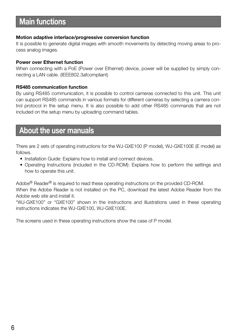### Main functions

#### Motion adaptive interlace/progressive conversion function

It is possible to generate digital images with smooth movements by detecting moving areas to process analog images.

#### Power over Ethernet function

When connecting with a PoE (Power over Ethernet) device, power will be supplied by simply connecting a LAN cable. (IEEE802.3afcompliant)

#### RS485 communication function

By using RS485 communication, it is possible to control cameras connected to this unit. This unit can support RS485 commands in various formats for different cameras by selecting a camera control protocol in the setup menu. It is also possible to add other RS485 commands that are not included on the setup menu by uploading command tables.

### About the user manuals

There are 2 sets of operating instructions for the WJ-GXE100 (P model), WJ-GXE100E (E model) as follows.

- Installation Guide: Explains how to install and connect devices.
- Operating Instructions (included in the CD-ROM): Explains how to perform the settings and how to operate this unit.

Adobe® Reader® is required to read these operating instructions on the provided CD-ROM. When the Adobe Reader is not installed on the PC, download the latest Adobe Reader from the

Adobe web site and install it.

"WJ-GXE100" or "GXE100" shown in the instructions and illustrations used in these operating instructions indicates the WJ-GXE100, WJ-GXE100E.

The screens used in these operating instructions show the case of P model.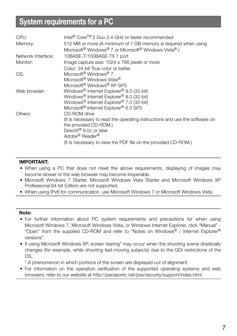## System requirements for a PC

| CPU:               | Intel <sup>®</sup> Core <sup>TM</sup> 2 Duo 2.4 GHz or faster recommended                                                                                                |
|--------------------|--------------------------------------------------------------------------------------------------------------------------------------------------------------------------|
| Memory:            | 512 MB or more (A minimum of 1 GB memory is required when using<br>Microsoft <sup>®</sup> Windows <sup>®</sup> 7 or Microsoft <sup>®</sup> Windows Vista <sup>®</sup> .) |
| Network Interface: | 10BASE-T/100BASE-TX 1 port                                                                                                                                               |
| Monitor:           | Image capture size: 1024 x 768 pixels or more                                                                                                                            |
|                    | Color: 24-bit True color or better                                                                                                                                       |
| OS:                | Microsoft <sup>®</sup> Windows <sup>®</sup> 7                                                                                                                            |
|                    | Microsoft <sup>®</sup> Windows Vista <sup>®</sup>                                                                                                                        |
|                    | Microsoft <sup>®</sup> Windows <sup>®</sup> XP SP3                                                                                                                       |
| Web browser:       | Windows <sup>®</sup> Internet Explorer <sup>®</sup> 9.0 (32-bit)                                                                                                         |
|                    | Windows® Internet Explorer® 8.0 (32-bit)                                                                                                                                 |
|                    | Windows <sup>®</sup> Internet Explorer <sup>®</sup> 7.0 (32-bit)                                                                                                         |
|                    | Microsoft <sup>®</sup> Internet Explorer <sup>®</sup> 6.0 SP3                                                                                                            |
| Others:            | CD-ROM drive                                                                                                                                                             |
|                    | (It is necessary to read the operating instructions and use the software on                                                                                              |
|                    | the provided CD-ROM.)                                                                                                                                                    |
|                    | Direct $X^{\circledR}$ 9.0c or later                                                                                                                                     |
|                    | Adobe <sup>®</sup> Reader <sup>®</sup>                                                                                                                                   |
|                    | (It is necessary to view the PDF file on the provided CD-ROM.)                                                                                                           |
|                    |                                                                                                                                                                          |

#### IMPORTANT:

- When using a PC that does not meet the above requirements, displaying of images may become slower or the web browser may become inoperable.
- Microsoft Windows 7 Starter, Microsoft Windows Vista Starter and Microsoft Windows XP Professional 64-bit Edition are not supported.
- When using IPv6 for communication, use Microsoft Windows 7 or Microsoft Windows Vista.

#### Note:

- For further information about PC system requirements and precautions for when using Microsoft Windows 7, Microsoft Windows Vista, or Windows Internet Explorer, click "Manual" - "Open" from the supplied CD-ROM and refer to "Notes on Windows® / Internet Explorer® versions".
- If using Microsoft Windows XP, screen tearing\* may occur when the shooting scene drastically changes (for example, while shooting fast-moving subjects) due to the GDI restrictions of the OS.
	- \* A phenomenon in which portions of the screen are displayed out of alignment
- For information on the operation verification of the supported operating systems and web browsers, refer to our website at <http://panasonic.net/pss/security/support/index.html>.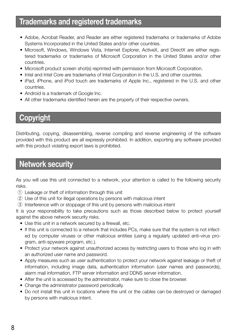### Trademarks and registered trademarks

- Adobe, Acrobat Reader, and Reader are either registered trademarks or trademarks of Adobe Systems Incorporated in the United States and/or other countries.
- Microsoft, Windows, Windows Vista, Internet Explorer, ActiveX, and DirectX are either registered trademarks or trademarks of Microsoft Corporation in the United States and/or other countries.
- Microsoft product screen shot(s) reprinted with permission from Microsoft Corporation.
- Intel and Intel Core are trademarks of Intel Corporation in the U.S. and other countries.
- iPad, iPhone, and iPod touch are trademarks of Apple Inc., registered in the U.S. and other countries.
- Android is a trademark of Google Inc.
- All other trademarks identified herein are the property of their respective owners.

### Copyright

Distributing, copying, disassembling, reverse compiling and reverse engineering of the software provided with this product are all expressly prohibited. In addition, exporting any software provided with this product violating export laws is prohibited.

### Network security

As you will use this unit connected to a network, your attention is called to the following security risks.

- $q$  Leakage or theft of information through this unit
- 2 Use of this unit for illegal operations by persons with malicious intent
- e Interference with or stoppage of this unit by persons with malicious intent

It is your responsibility to take precautions such as those described below to protect yourself against the above network security risks.

- Use this unit in a network secured by a firewall, etc.
- If this unit is connected to a network that includes PCs, make sure that the system is not infected by computer viruses or other malicious entities (using a regularly updated anti-virus program, anti-spyware program, etc.).
- Protect your network against unauthorized access by restricting users to those who log in with an authorized user name and password.
- Apply measures such as user authentication to protect your network against leakage or theft of information, including image data, authentication information (user names and passwords), alarm mail information, FTP server information and DDNS server information.
- After the unit is accessed by the administrator, make sure to close the browser.
- Change the administrator password periodically.
- Do not install this unit in locations where the unit or the cables can be destroyed or damaged by persons with malicious intent.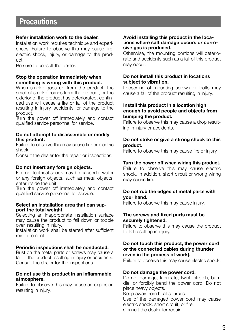### **Precautions**

#### Refer installation work to the dealer.

Installation work requires technique and experiences. Failure to observe this may cause fire, electric shock, injury, or damage to the product.

Be sure to consult the dealer.

#### Stop the operation immediately when something is wrong with this product.

When smoke goes up from the product, the smell of smoke comes from the product, or the exterior of the product has deteriorated, continued use will cause a fire or fall of the product resulting in injury, accidents, or damage to the product.

Turn the power off immediately and contact qualified service personnel for service.

#### Do not attempt to disassemble or modify this product.

Failure to observe this may cause fire or electric shock.

Consult the dealer for the repair or inspections.

#### Do not insert any foreign objects.

Fire or electrical shock may be caused if water or any foreign objects, such as metal objects, enter inside the unit.

Turn the power off immediately and contact qualified service personnel for service.

#### Select an installation area that can support the total weight.

Selecting an inappropriate installation surface may cause the product to fall down or topple over, resulting in injury.

Installation work shall be started after sufficient reinforcement.

#### Periodic inspections shall be conducted.

Rust on the metal parts or screws may cause a fall of the product resulting in injury or accidents. Consult the dealer for the inspections.

#### Do not use this product in an inflammable atmosphere.

Failure to observe this may cause an explosion resulting in injury.

#### Avoid installing this product in the locations where salt damage occurs or corrosive gas is produced.

Otherwise, the mounting portions will deteriorate and accidents such as a fall of this product may occur.

#### Do not install this product in locations subject to vibration.

Loosening of mounting screws or bolts may cause a fall of the product resulting in injury.

#### Install this product in a location high enough to avoid people and objects from bumping the product.

Failure to observe this may cause a drop resulting in injury or accidents.

#### Do not strike or give a strong shock to this product.

Failure to observe this may cause fire or injury.

#### Turn the power off when wiring this product.

Failure to observe this may cause electric shock. In addition, short circuit or wrong wiring may cause fire.

#### Do not rub the edges of metal parts with your hand.

Failure to observe this may cause injury.

#### The screws and fixed parts must be securely tightened.

Failure to observe this may cause the product to fall resulting in injury.

#### Do not touch this product, the power cord or the connected cables during thunder (even in the process of work).

Failure to observe this may cause electric shock.

#### Do not damage the power cord.

Do not damage, fabricate, twist, stretch, bundle, or forcibly bend the power cord. Do not place heavy objects.

Keep away from heat sources.

Use of the damaged power cord may cause electric shock, short circuit, or fire. Consult the dealer for repair.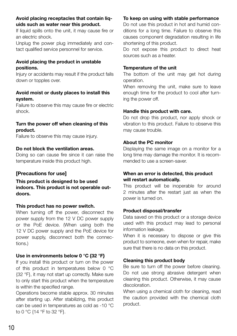#### Avoid placing receptacles that contain liquids such as water near this product.

If liquid spills onto the unit, it may cause fire or an electric shock.

Unplug the power plug immediately and contact qualified service personnel for service.

#### Avoid placing the product in unstable positions.

Injury or accidents may result if the product falls down or topples over.

#### Avoid moist or dusty places to install this system.

Failure to observe this may cause fire or electric shock.

#### Turn the power off when cleaning of this product.

Failure to observe this may cause injury.

#### Do not block the ventilation areas.

Doing so can cause fire since it can raise the temperature inside this product high.

#### [Precautions for use]

This product is designed to be used indoors. This product is not operable outdoors.

#### This product has no power switch.

When turning off the power, disconnect the power supply from the 12 V DC power supply or the PoE device. (When using both the 12 V DC power supply and the PoE device for power supply, disconnect both the connections.)

#### Use in environments below 0 °C {32 °F}

If you install this product or turn on the power of this product in temperatures below 0 °C {32 °F}, it may not start up correctly. Make sure to only start this product when the temperature is within the specified range.

Operations become stable approx. 30 minutes after starting up. After stabilizing, this product can be used in temperatures as cold as -10 °C to 0 °C {14 °F to 32 °F}.

#### To keep on using with stable performance

Do not use this product in hot and humid conditions for a long time. Failure to observe this causes component degradation resulting in life shortening of this product.

Do not expose this product to direct heat sources such as a heater.

#### Temperature of the unit

The bottom of the unit may get hot during operation.

When removing the unit, make sure to leave enough time for the product to cool after turning the power off.

#### Handle this product with care.

Do not drop this product, nor apply shock or vibration to this product. Failure to observe this may cause trouble.

#### About the PC monitor

Displaying the same image on a monitor for a long time may damage the monitor. It is recommended to use a screen-saver.

#### When an error is detected, this product will restart automatically.

This product will be inoperable for around 2 minutes after the restart just as when the power is turned on.

#### Product disposal/transfer

Data saved on this product or a storage device used with this product may lead to personal information leakage.

When it is necessary to dispose or give this product to someone, even when for repair, make sure that there is no data on this product.

#### Cleaning this product body

Be sure to turn off the power before cleaning. Do not use strong abrasive detergent when cleaning this product. Otherwise, it may cause discoloration.

When using a chemical cloth for cleaning, read the caution provided with the chemical cloth product.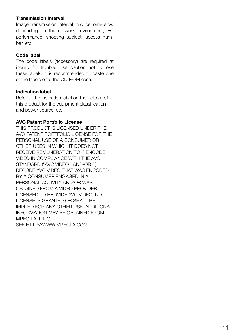#### Transmission interval

Image transmission interval may become slow depending on the network environment, PC performance, shooting subject, access number, etc.

#### Code label

The code labels (accessory) are required at inquiry for trouble. Use caution not to lose these labels. It is recommended to paste one of the labels onto the CD-ROM case.

#### Indication label

Refer to the indication label on the bottom of this product for the equipment classification and power source, etc.

#### AVC Patent Portfolio License

THIS PRODUCT IS LICENSED UNDER THE AVC PATENT PORTFOLIO LICENSE FOR THE PERSONAL USE OF A CONSUMER OR OTHER USES IN WHICH IT DOES NOT RECEIVE REMUNERATION TO (i) ENCODE VIDEO IN COMPLIANCE WITH THE AVC STANDARD ("AVC VIDEO") AND/OR (ii) DECODE AVC VIDEO THAT WAS ENCODED BY A CONSUMER ENGAGED IN A PERSONAL ACTIVITY AND/OR WAS OBTAINED FROM A VIDEO PROVIDER LICENSED TO PROVIDE AVC VIDEO. NO LICENSE IS GRANTED OR SHALL BE IMPLIED FOR ANY OTHER USE. ADDITIONAL INFORMATION MAY BE OBTAINED FROM MPEG LA, L.L.C. SEE<HTTP://WWW.MPEGLA.COM>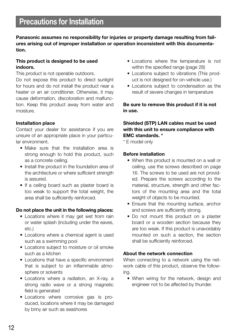### Precautions for Installation

Panasonic assumes no responsibility for injuries or property damage resulting from failures arising out of improper installation or operation inconsistent with this documentation.

#### This product is designed to be used indoors.

This product is not operable outdoors.

Do not expose this product to direct sunlight for hours and do not install the product near a heater or an air conditioner. Otherwise, it may cause deformation, discoloration and malfunction. Keep this product away from water and moisture.

#### Installation place

Contact your dealer for assistance if you are unsure of an appropriate place in your particular environment.

- Make sure that the installation area is strong enough to hold this product, such as a concrete ceiling.
- Install the product in the foundation area of the architecture or where sufficient strength is assured.
- If a ceiling board such as plaster board is too weak to support the total weight, the area shall be sufficiently reinforced.

#### Do not place the unit in the following places:

- Locations where it may get wet from rain or water splash (including under the eaves, etc.)
- Locations where a chemical agent is used such as a swimming pool
- Locations subject to moisture or oil smoke such as a kitchen
- Locations that have a specific environment that is subject to an inflammable atmosphere or solvents
- Locations where a radiation, an X-ray, a strong radio wave or a strong magnetic field is generated
- Locations where corrosive gas is produced, locations where it may be damaged by briny air such as seashores
- Locations where the temperature is not within the specified range (page 28)
- Locations subject to vibrations (This product is not designed for on-vehicle use.)
- Locations subject to condensation as the result of severe changes in temperature

Be sure to remove this product if it is not in use.

#### Shielded (STP) LAN cables must be used with this unit to ensure compliance with EMC standards. \*

\* E model only

#### Before installation

- When this product is mounted on a wall or ceiling, use the screws described on page 16. The screws to be used are not provided. Prepare the screws according to the material, structure, strength and other factors of the mounting area and the total weight of objects to be mounted.
- Ensure that the mounting surface, anchor and screws are sufficiently strong.
- Do not mount this product on a plaster board or a wooden section because they are too weak. If this product is unavoidably mounted on such a section, the section shall be sufficiently reinforced.

#### About the network connection

When connecting to a network using the network cable of this product, observe the following.

• When wiring for the network, design and engineer not to be affected by thunder.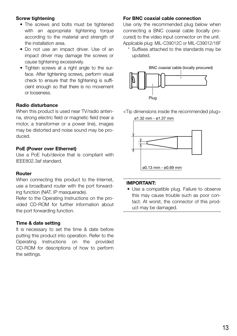#### Screw tightening

- The screws and bolts must be tightened with an appropriate tightening torque according to the material and strength of the installation area.
- Do not use an impact driver. Use of an impact driver may damage the screws or cause tightening excessively.
- Tighten screws at a right angle to the surface. After tightening screws, perform visual check to ensure that the tightening is sufficient enough so that there is no movement or looseness.

#### Radio disturbance

When this product is used near TV/radio antenna, strong electric field or magnetic field (near a motor, a transformer or a power line), images may be distorted and noise sound may be produced.

#### PoE (Power over Ethernet)

Use a PoE hub/device that is compliant with IEEE802.3af standard.

#### Router

When connecting this product to the Internet, use a broadband router with the port forwarding function (NAT, IP masquerade).

Refer to the Operating Instructions on the provided CD-ROM for further information about the port forwarding function.

#### Time & date setting

It is necessary to set the time & date before putting this product into operation. Refer to the Operating Instructions on the provided CD-ROM for descriptions of how to perform the settings.

#### For BNC coaxial cable connection

Use only the recommended plug below when connecting a BNC coaxial cable (locally procured) to the video input connector on the unit. Applicable plug: MIL-C39012C or MIL-C39012/16F

 \* Suffixes attached to the standards may be updated.



<Tip dimensions inside the recommended plug>



#### IMPORTANT:

this may cause trouble such as poor con-• Use a compatible plug. Failure to observe tact. At worst, the connector of this product may be damaged.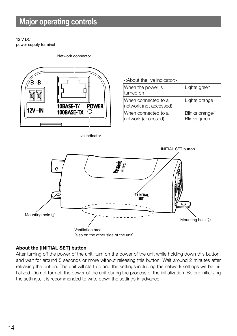### Major operating controls

#### 12 V DC power supply terminal



Live indicator

<About the live indicator>

| When the power is<br>turned on                 | Lights green                   |
|------------------------------------------------|--------------------------------|
| lWhen connected to a<br>network (not accessed) | Lights orange                  |
| lWhen connected to a<br>network (accessed)     | Blinks orange/<br>Blinks green |



#### About the [INITIAL SET] button

After turning off the power of the unit, turn on the power of the unit while holding down this button, and wait for around 5 seconds or more without releasing this button. Wait around 2 minutes after releasing the button. The unit will start up and the settings including the network settings will be initialized. Do not turn off the power of the unit during the process of the initialization. Before initializing the settings, it is recommended to write down the settings in advance.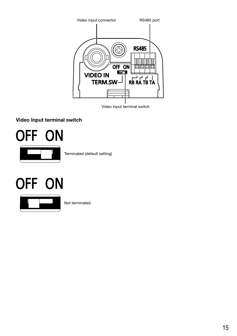

Video Input terminal switch

#### Video Input terminal switch



Terminated (default setting)

# OFF ON



Not terminated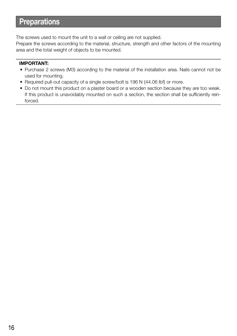### **Preparations**

The screws used to mount the unit to a wall or ceiling are not supplied.

Prepare the screws according to the material, structure, strength and other factors of the mounting area and the total weight of objects to be mounted.

- Purchase 2 screws (M3) according to the material of the installation area. Nails cannot not be used for mounting.
- Required pull-out capacity of a single screw/bolt is 196 N {44.06 lbf} or more.
- Do not mount this product on a plaster board or a wooden section because they are too weak. If this product is unavoidably mounted on such a section, the section shall be sufficiently reinforced.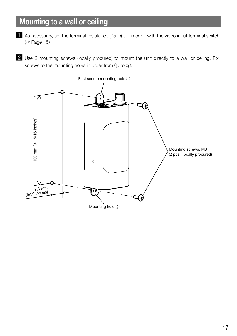## Mounting to a wall or ceiling

- As necessary, set the terminal resistance (75  $\Omega$ ) to on or off with the video input terminal switch. (☞ Page 15)
- 2 Use 2 mounting screws (locally procured) to mount the unit directly to a wall or ceiling. Fix screws to the mounting holes in order from  $\textcircled{1}$  to  $\textcircled{2}.$

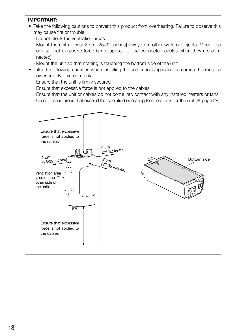- Take the following cautions to prevent this product from overheating. Failure to observe this may cause fire or trouble.
	- · Do not block the ventilation areas
	- · Mount the unit at least 2 cm {25/32 inches} away from other walls or objects (Mount the unit so that excessive force is not applied to the connected cables when they are connected)
	- · Mount the unit so that nothing is touching the bottom side of the unit
- Take the following cautions when installing the unit in housing (such as camera housing), a power supply box, or a rack.
	- · Ensure that the unit is firmly secured
	- · Ensure that excessive force is not applied to the cables
	- · Ensure that the unit or cables do not come into contact with any installed heaters or fans
	- · Do not use in areas that exceed the specified operating temperatures for the unit (☞ page 28)

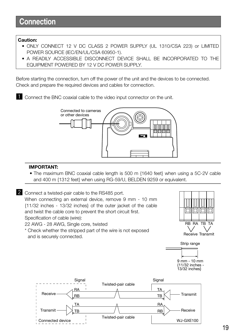#### Caution:

- ONLY CONNECT 12 V DC CLASS 2 POWER SUPPLY (UL 1310/CSA 223) or LIMITED POWER SOURCE (IEC/EN/UL/CSA 60950-1).
- A READILY ACCESSIBLE DISCONNECT DEVICE SHALL BE INCORPORATED TO THE EQUIPMENT POWERED BY 12 V DC POWER SUPPLY.

Before starting the connection, turn off the power of the unit and the devices to be connected. Check and prepare the required devices and cables for connection.

**EXECONDECT** Connect the BNC coaxial cable to the video input connector on the unit.



#### IMPORTANT:

• The maximum BNC coaxial cable length is 500 m {1640 feet} when using a 5C-2V cable and 400 m {1312 feet} when using RG-59/U, BELDEN 9259 or equivalent.

2 Connect a twisted-pair cable to the RS485 port.

When connecting an external device, remove 9 mm - 10 mm {11/32 inches - 13/32 inches} of the outer jacket of the cable and twist the cable core to prevent the short circuit first. Specification of cable (wire):

22 AWG - 28 AWG, Single core, twisted

\* Check whether the stripped part of the wire is not exposed and is securely connected.





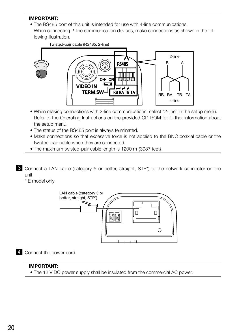#### IMPORTANT:

• The RS485 port of this unit is intended for use with 4-line communications. When connecting 2-line communication devices, make connections as shown in the following illustration.



- When making connections with 2-line communications, select "2-line" in the setup menu. Refer to the Operating Instructions on the provided CD-ROM for further information about the setup menu.
- The status of the RS485 port is always terminated.
- Make connections so that excessive force is not applied to the BNC coaxial cable or the twisted-pair cable when they are connected.
- The maximum twisted-pair cable length is 1200 m {3937 feet}.

**3** Connect a LAN cable (category 5 or better, straight, STP\*) to the network connector on the unit.

\* E model only



4 Connect the power cord.

#### IMPORTANT:

• The 12 V DC power supply shall be insulated from the commercial AC power.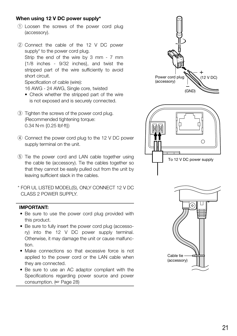#### When using 12 V DC power supply\*

- $(1)$  Loosen the screws of the power cord plug (accessory).
- $(2)$  Connect the cable of the 12 V DC power supply\* to the power cord plug. Strip the end of the wire by 3 mm - 7 mm {1/8 inches - 9/32 inches}, and twist the stripped part of the wire sufficiently to avoid short circuit. Specification of cable (wire): 16 AWG - 24 AWG, Single core, twisted
	- Check whether the stripped part of the wire is not exposed and is securely connected.
- 3 Tighten the screws of the power cord plug. (Recommended tightening torque: 0.34 N·m {0.25 lbf·ft})
- (4) Connect the power cord plug to the 12 V DC power supply terminal on the unit.
- (5) Tie the power cord and LAN cable together using the cable tie (accessory). Tie the cables together so that they cannot be easily pulled out from the unit by leaving sufficient slack in the cables.
- \* FOR UL LISTED MODEL(S), ONLY CONNECT 12 V DC CLASS 2 POWER SUPPLY.

- Be sure to use the power cord plug provided with this product.
- Be sure to fully insert the power cord plug (accessory) into the 12 V DC power supply terminal. Otherwise, it may damage the unit or cause malfunction.
- Make connections so that excessive force is not applied to the power cord or the LAN cable when they are connected.
- Be sure to use an AC adaptor compliant with the Specifications regarding power source and power consumption. (☞ Page 28)

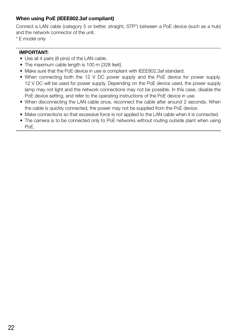#### When using PoE (IEEE802.3af compliant)

Connect a LAN cable (category 5 or better, straight, STP\*) between a PoE device (such as a hub) and the network connector of the unit.

\* E model only

- Use all 4 pairs (8 pins) of the LAN cable.
- The maximum cable length is 100 m {328 feet}.
- Make sure that the PoE device in use is compliant with IEEE802.3af standard.
- When connecting both the 12 V DC power supply and the PoE device for power supply, 12 V DC will be used for power supply. Depending on the PoE device used, the power supply lamp may not light and the network connections may not be possible. In this case, disable the PoE device setting, and refer to the operating instructions of the PoE device in use.
- When disconnecting the LAN cable once, reconnect the cable after around 2 seconds. When the cable is quickly connected, the power may not be supplied from the PoE device.
- Make connections so that excessive force is not applied to the LAN cable when it is connected.
- The camera is to be connected only to PoE networks without routing outside plant when using PoE.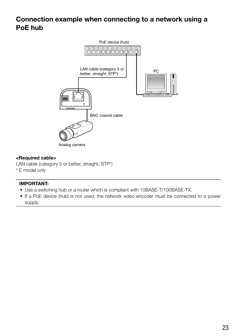### Connection example when connecting to a network using a PoE hub



#### <Required cable>

LAN cable (category 5 or better, straight, STP\*)

\* E model only

- Use a switching hub or a router which is compliant with 10BASE-T/100BASE-TX.
- If a PoE device (hub) is not used, the network video encoder must be connected to a power supply.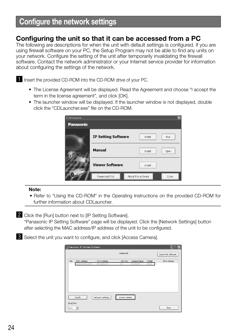### Configuring the unit so that it can be accessed from a PC

The following are descriptions for when the unit with default settings is configured. If you are using firewall software on your PC, the Setup Program may not be able to find any units on your network. Configure the setting of the unit after temporarily invalidating the firewall software. Contact the network administrator or your Internet service provider for information about configuring the settings of the network.

Insert the provided CD-ROM into the CD-ROM drive of your PC.

- The License Agreement will be displayed. Read the Agreement and choose "I accept the term in the license agreement", and click [OK].
- The launcher window will be displayed. If the launcher window is not displayed, double click the "CDLauncher.exe" file on the CD-ROM.

| 图 CD Launcher    |                            |                     | $\boxtimes$ |
|------------------|----------------------------|---------------------|-------------|
| <b>Panasonic</b> |                            |                     |             |
|                  | <b>IP Setting Software</b> | Install             | Run         |
|                  | Manual                     | Install             | Open        |
|                  | <b>Viewer Software</b>     | Install             |             |
|                  | Please read first          | About this software | Close       |

#### Note:

• Refer to "Using the CD-ROM" in the Operating Instructions on the provided CD-ROM for further information about CDLauncher.

2 Click the [Run] button next to [IP Setting Software].

"Panasonic IP Setting Software" page will be displayed. Click the [Network Settings] button after selecting the MAC address/IP address of the unit to be configured.

S Select the unit you want to configure, and click [Access Camera].

|           | <b>Comparently</b> Panasonic IP Setting Software |                  |                         |       |                     |
|-----------|--------------------------------------------------|------------------|-------------------------|-------|---------------------|
|           |                                                  |                  | Camera list             |       | About this software |
| No.       | MAC Address                                      | IPv4 Address     | Camera Name<br>Port No. | Model | IPv4 overlap        |
| п         |                                                  |                  |                         |       |                     |
|           |                                                  |                  |                         |       |                     |
|           |                                                  |                  |                         |       |                     |
|           |                                                  |                  |                         |       |                     |
|           |                                                  |                  |                         |       |                     |
|           |                                                  |                  |                         |       |                     |
|           | Search                                           | Network Settings | Access Camera           |       |                     |
| IPv4/IPv6 |                                                  |                  |                         |       |                     |
| IPv4      |                                                  |                  |                         |       | Close               |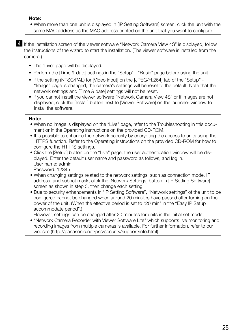#### Note:

- When more than one unit is displayed in [IP Setting Software] screen, click the unit with the same MAC address as the MAC address printed on the unit that you want to configure.
- **4.** If the installation screen of the viewer software "Network Camera View 4S" is displayed, follow the instructions of the wizard to start the installation. (The viewer software is installed from the camera.)
	- The "Live" page will be displayed.
	- Perform the [Time & date] settings in the "Setup" "Basic" page before using the unit.
	- If the setting (NTSC/PAL) for [Video input] on the [JPEG/H.264] tab of the "Setup" -"Image" page is changed, the camera's settings will be reset to the default. Note that the network settings and [Time & date] settings will not be reset.
	- If you cannot install the viewer software "Network Camera View 4S" or if images are not displayed, click the [Install] button next to [Viewer Software] on the launcher window to install the software.

#### Note:

- • When no image is displayed on the "Live" page, refer to the Troubleshooting in this document or in the Operating Instructions on the provided CD-ROM.
- It is possible to enhance the network security by encrypting the access to units using the HTTPS function. Refer to the Operating instructions on the provided CD-ROM for how to configure the HTTPS settings.
- Click the [Setup] button on the "Live" page, the user authentication window will be displayed. Enter the default user name and password as follows, and log in. User name: admin Password: 12345
- When changing settings related to the network settings, such as connection mode, IP address, and subnet mask, click the [Network Settings] button in [IP Setting Software] screen as shown in step 3, then change each setting.
- Due to security enhancements in "IP Setting Software", "Network settings" of the unit to be configured cannot be changed when around 20 minutes have passed after turning on the power of the unit. (When the effective period is set to "20 min" in the "Easy IP Setup accommodate period".)

However, settings can be changed after 20 minutes for units in the initial set mode.

• "Network Camera Recorder with Viewer Software Lite" which supports live monitoring and recording images from multiple cameras is available. For further information, refer to our website [\(http://panasonic.net/pss/security/support/info.html](http://panasonic.net/pss/security/support/info.html)).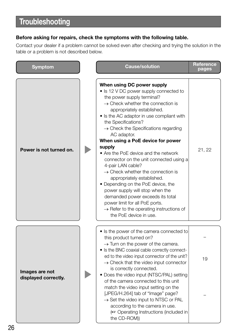# **Troubleshooting**

#### Before asking for repairs, check the symptoms with the following table.

Contact your dealer if a problem cannot be solved even after checking and trying the solution in the table or a problem is not described below.

| <b>Symptom</b>                         |  | <b>Cause/solution</b>                                                                                                                                                                                                                                                                                                                                                                                                                                                                                                                                                                                                                                                                                                                                                                           | <b>Reference</b><br>pages |
|----------------------------------------|--|-------------------------------------------------------------------------------------------------------------------------------------------------------------------------------------------------------------------------------------------------------------------------------------------------------------------------------------------------------------------------------------------------------------------------------------------------------------------------------------------------------------------------------------------------------------------------------------------------------------------------------------------------------------------------------------------------------------------------------------------------------------------------------------------------|---------------------------|
| Power is not turned on.                |  | When using DC power supply<br>• Is 12 V DC power supply connected to<br>the power supply terminal?<br>$\rightarrow$ Check whether the connection is<br>appropriately established.<br>• Is the AC adaptor in use compliant with<br>the Specifications?<br>$\rightarrow$ Check the Specifications regarding<br>AC adaptor.<br>When using a PoE device for power<br>supply<br>• Are the PoE device and the network<br>connector on the unit connected using a<br>4-pair LAN cable?<br>$\rightarrow$ Check whether the connection is<br>appropriately established.<br>• Depending on the PoE device, the<br>power supply will stop when the<br>demanded power exceeds its total<br>power limit for all PoE ports.<br>$\rightarrow$ Refer to the operating instructions of<br>the PoE device in use. | 21, 22                    |
|                                        |  | • Is the power of the camera connected to<br>this product turned on?                                                                                                                                                                                                                                                                                                                                                                                                                                                                                                                                                                                                                                                                                                                            |                           |
| Images are not<br>displayed correctly. |  | $\rightarrow$ Turn on the power of the camera.<br>· Is the BNC coaxial cable correctly connect-<br>ed to the video input connector of the unit?<br>$\rightarrow$ Check that the video input connector                                                                                                                                                                                                                                                                                                                                                                                                                                                                                                                                                                                           | 19                        |
|                                        |  | is correctly connected.<br>• Does the video input (NTSC/PAL) setting<br>of the camera connected to this unit<br>match the video input setting on the<br>[JPEG/H.264] tab of "Image" page?<br>$\rightarrow$ Set the video input to NTSC or PAL<br>according to the camera in use.<br>(Execution Operating Instructions (included in<br>the CD-ROM)                                                                                                                                                                                                                                                                                                                                                                                                                                               |                           |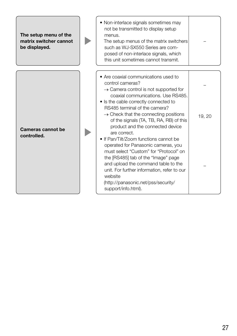| The setup menu of the<br>matrix switcher cannot<br>be displayed. | • Non-interlace signals sometimes may<br>not be transmitted to display setup<br>menus.<br>The setup menus of the matrix switchers<br>such as WJ-SX550 Series are com-<br>posed of non-interlace signals, which<br>this unit sometimes cannot transmit.                                                                                                                                                                                                                                                                                                                                                                                                                                                             |        |
|------------------------------------------------------------------|--------------------------------------------------------------------------------------------------------------------------------------------------------------------------------------------------------------------------------------------------------------------------------------------------------------------------------------------------------------------------------------------------------------------------------------------------------------------------------------------------------------------------------------------------------------------------------------------------------------------------------------------------------------------------------------------------------------------|--------|
| Cameras cannot be<br>controlled.                                 | • Are coaxial communications used to<br>control cameras?<br>$\rightarrow$ Camera control is not supported for<br>coaxial communications. Use RS485.<br>• Is the cable correctly connected to<br>RS485 terminal of the camera?<br>$\rightarrow$ Check that the connecting positions<br>of the signals (TA, TB, RA, RB) of this<br>product and the connected device<br>are correct.<br>• If Pan/Tilt/Zoom functions cannot be<br>operated for Panasonic cameras, you<br>must select "Custom" for "Protocol" on<br>the [RS485] tab of the "Image" page<br>and upload the command table to the<br>unit. For further information, refer to our<br>website<br>(http://panasonic.net/pss/security/<br>support/info.html). | 19, 20 |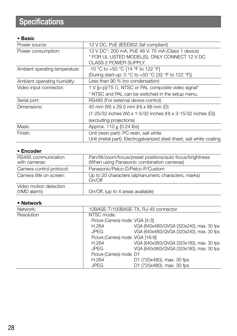# **Specifications**

#### • Basic

| Power source:                  | 12 V DC, PoE (IEEE802.3af compliant)                                 |
|--------------------------------|----------------------------------------------------------------------|
| Power consumption:             | 12 V DC*: 200 mA, PoE 48 V: 75 mA (Class 1 device)                   |
|                                | * FOR UL LISTED MODEL(S), ONLY CONNECT 12 V DC                       |
|                                | CLASS 2 POWER SUPPLY.                                                |
| Ambient operating temperature: | -10 °C to +50 °C {14 °F to 122 °F}                                   |
|                                | (During start-up: 0 °C to +50 °C {32 °F to 122 °F})                  |
| Ambient operating humidity:    | Less than 90 % (no condensation)                                     |
| Video input connector:         | 1 V [p-p]/75 Ω, NTSC or PAL composite video signal*                  |
|                                | * NTSC and PAL can be switched in the setup menu.                    |
| Serial port:                   | RS485 (For external device control)                                  |
| Dimensions:                    | 45 mm (W) x 29.5 mm (H) x 88 mm (D)                                  |
|                                | {1-25/32 inches (W) x 1-5/32 inches (H) x 3-15/32 inches (D)}        |
|                                | (excluding projections)                                              |
| Mass:                          | Approx. 110 g {0.24 lbs}                                             |
| Finish:                        | Unit (resin part): PC resin, sail white                              |
|                                | Unit (metal part): Electrogalvanized steel sheet, sail white coating |

#### • Encoder

| RS485 communication<br>with cameras:   | Pan/tilt/zoom/focus/preset positions/auto focus/brightness<br>(When using Panasonic combination cameras) |
|----------------------------------------|----------------------------------------------------------------------------------------------------------|
| Camera control protocol:               | Panasonic/Pelco-D/Pelco-P/Custom                                                                         |
| Camera title on screen:                | Up to 20 characters (alphanumeric characters, marks)<br>On/Off                                           |
| Video motion detection<br>(VMD alarm): | On/Off, (up to 4 areas available)                                                                        |

#### • Network

| Network:          |                                   | 10BASE-T/100BASE-TX, RJ-45 connector      |
|-------------------|-----------------------------------|-------------------------------------------|
| <b>Resolution</b> | NTSC mode:                        |                                           |
|                   | Picture (Camera) mode: VGA [4:3]  |                                           |
|                   | H.264                             | VGA (640x480)/QVGA (320x240), max. 30 fps |
|                   | <b>JPEG</b>                       | VGA (640x480)/QVGA (320x240), max. 30 fps |
|                   | Picture (Camera) mode: VGA [16:9] |                                           |
|                   | H.264                             | VGA (640x360)/QVGA (320x180), max. 30 fps |
|                   | <b>JPEG</b>                       | VGA (640x360)/QVGA (320x180), max. 30 fps |
|                   | Picture (Camera) mode: D1         |                                           |
|                   | H.264                             | D1 (720x480), max. 30 fps                 |
|                   | <b>JPEG</b>                       | D1 (720x480), max. 30 fps                 |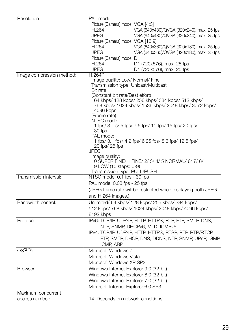| Resolution                | PAL mode:                                                                           |
|---------------------------|-------------------------------------------------------------------------------------|
|                           | Picture (Camera) mode: VGA [4:3]                                                    |
|                           | H.264<br>VGA (640x480)/QVGA (320x240), max. 25 fps                                  |
|                           | <b>JPEG</b><br>VGA (640x480)/QVGA (320x240), max. 25 fps                            |
|                           | Picture (Camera) mode: VGA [16:9]                                                   |
|                           | H.264<br>VGA (640x360)/QVGA (320x180), max. 25 fps                                  |
|                           | <b>JPEG</b><br>VGA (640x360)/QVGA (320x180), max. 25 fps                            |
|                           | Picture (Camera) mode: D1                                                           |
|                           | H.264<br>D1 (720x576), max. 25 fps                                                  |
|                           | <b>JPEG</b><br>D1 (720x576), max. 25 fps                                            |
| Image compression method: | H.264*1                                                                             |
|                           | Image quality: Low/ Normal/ Fine                                                    |
|                           | Transmission type: Unicast/Multicast                                                |
|                           | Bit rate:                                                                           |
|                           | (Constant bit rate/Best effort)<br>64 kbps/ 128 kbps/ 256 kbps/ 384 kbps/ 512 kbps/ |
|                           | 768 kbps/ 1024 kbps/ 1536 kbps/ 2048 kbps/ 3072 kbps/                               |
|                           | 4096 kbps                                                                           |
|                           | (Frame rate)                                                                        |
|                           | NTSC mode:                                                                          |
|                           | 1 fps/ 3 fps/ 5 fps/ 7.5 fps/ 10 fps/ 15 fps/ 20 fps/                               |
|                           | 30 fps                                                                              |
|                           | PAL mode:                                                                           |
|                           | 1 fps/ 3.1 fps/ 4.2 fps/ 6.25 fps/ 8.3 fps/ 12.5 fps/                               |
|                           | 20 fps/ 25 fps<br><b>JPEG</b>                                                       |
|                           | Image quality:                                                                      |
|                           | 0 SUPER FINE/ 1 FINE/ 2/ 3/ 4/ 5 NORMAL/ 6/ 7/ 8/                                   |
|                           | 9 LOW (10 steps: 0-9)                                                               |
|                           | Transmission type: PULL/PUSH                                                        |
| Transmission interval:    | NTSC mode: 0.1 fps - 30 fps                                                         |
|                           | PAL mode: 0.08 fps - 25 fps                                                         |
|                           | (JPEG frame rate will be restricted when displaying both JPEG                       |
|                           | and H.264 images.)                                                                  |
|                           |                                                                                     |
| Bandwidth control:        | Unlimited/ 64 kbps/ 128 kbps/ 256 kbps/ 384 kbps/                                   |
|                           | 512 kbps/ 768 kbps/ 1024 kbps/ 2048 kbps/ 4096 kbps/                                |
|                           | 8192 kbps                                                                           |
| Protocol:                 | IPv6: TCP/IP, UDP/IP, HTTP, HTTPS, RTP, FTP, SMTP, DNS,                             |
|                           | NTP, SNMP, DHCPv6, MLD, ICMPv6                                                      |
|                           | IPv4: TCP/IP, UDP/IP, HTTP, HTTPS, RTSP, RTP, RTP/RTCP,                             |
|                           | FTP, SMTP, DHCP, DNS, DDNS, NTP, SNMP, UPnP, IGMP,                                  |
|                           | ICMP, ARP                                                                           |
| $OS^{\star 2}$ $\cdot$ 3. | Microsoft Windows 7                                                                 |
|                           | Microsoft Windows Vista                                                             |
|                           | Microsoft Windows XP SP3                                                            |
| Browser:                  | Windows Internet Explorer 9.0 (32-bit)                                              |
|                           | Windows Internet Explorer 8.0 (32-bit)                                              |
|                           | Windows Internet Explorer 7.0 (32-bit)                                              |
|                           |                                                                                     |
|                           | Microsoft Internet Explorer 6.0 SP3                                                 |
| Maximum concurrent        |                                                                                     |
| access number:            | 14 (Depends on network conditions)                                                  |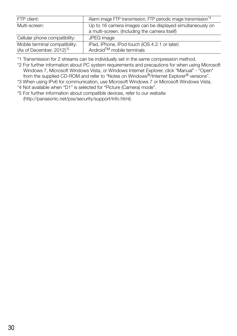| FTP client:                          | Alarm image FTP transmission, FTP periodic image transmission <sup>74</sup> |
|--------------------------------------|-----------------------------------------------------------------------------|
| Multi-screen:                        | Up to 16 camera images can be displayed simultaneously on                   |
|                                      | a multi-screen. (Including the camera itself)                               |
| Cellular phone compatibility:        | JPEG image                                                                  |
| Mobile terminal compatibility:       | iPad, iPhone, iPod touch (iOS 4.2.1 or later)                               |
| (As of December, 2012) <sup>*5</sup> | Android™ mobile terminals                                                   |

\*1 Transmission for 2 streams can be individually set in the same compression method.

\*2 For further information about PC system requirements and precautions for when using Microsoft Windows 7, Microsoft Windows Vista, or Windows Internet Explorer, click "Manual" - "Open" from the supplied CD-ROM and refer to "Notes on Windows®/Internet Explorer® versions".

\*3 When using IPv6 for communication, use Microsoft Windows 7 or Microsoft Windows Vista.

\*4 Not available when "D1" is selected for "Picture (Camera) mode".

\*5 For further information about compatible devices, refer to our website [\(http://panasonic.net/pss/security/support/info.html](http://panasonic.net/pss/security/support/info.html)).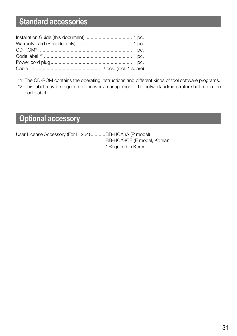## Standard accessories

- \*1 The CD-ROM contains the operating instructions and different kinds of tool software programs.
- \*2 This label may be required for network management. The network administrator shall retain the code label.

## Optional accessory

User License Accessory (For H.264) ...........BB-HCA8A (P model)

BB-HCA8CE (E model, Korea)\* \* Required in Korea